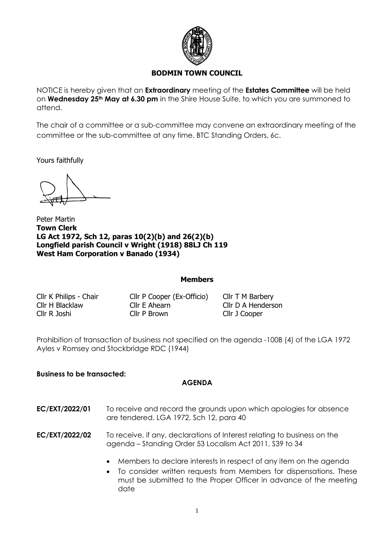

## **BODMIN TOWN COUNCIL**

NOTICE is hereby given that an **Extraordinary** meeting of the **Estates Committee** will be held on **Wednesday 25th May at 6.30 pm** in the Shire House Suite, to which you are summoned to attend.

The chair of a committee or a sub-committee may convene an extraordinary meeting of the committee or the sub-committee at any time. BTC Standing Orders, 6c.

Yours faithfully

Peter Martin **Town Clerk LG Act 1972, Sch 12, paras 10(2)(b) and 26(2)(b) Longfield parish Council v Wright (1918) 88LJ Ch 119 West Ham Corporation v Banado (1934)**

## **Members**

Cllr K Philips - Chair Cllr P Cooper (Ex-Officio) Cllr T M Barbery Cllr H Blacklaw Cllr E Ahearn Cllr D A Henderson Cllr R Joshi Cllr P Brown Cllr J Cooper

Prohibition of transaction of business not specified on the agenda -100B (4) of the LGA 1972 Ayles v Romsey and Stockbridge RDC (1944)

## **Business to be transacted:**

## **AGENDA**

- **EC/EXT/2022/01** To receive and record the grounds upon which apologies for absence are tendered. LGA 1972, Sch 12, para 40
- **EC/EXT/2022/02** To receive, if any, declarations of Interest relating to business on the agenda – Standing Order 53 Localism Act 2011, S39 to 34
	- Members to declare interests in respect of any item on the agenda
	- To consider written requests from Members for dispensations. These must be submitted to the Proper Officer in advance of the meeting date